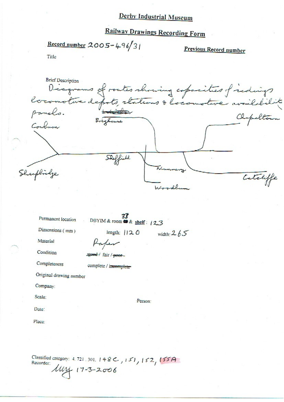# **Railway Drawings Recording Form**

Record number  $2005 - 496/3$ 

Previous Record number

Title

Brief Description<br>Diagnams of routes showing coposities of individual Coulum Skeffield Sheeplinge Catchiffe

width:  $265$ 

Permanent location

33 DBYIM & room @ & shelf: 12.3

Dimensions (mm)

length:  $||20$ 

Material

Condition

good / fair / poor

Kaper

Completeness

complete / incomplete

Original drawing number

Company:

Scale:

Person:

Date:

Place:

Classified category: 4, 721, 301,  $148C$ ,  $151$ ,  $152$ ,  $155A$ Recorder:  $\mu$ 14 17-3-2006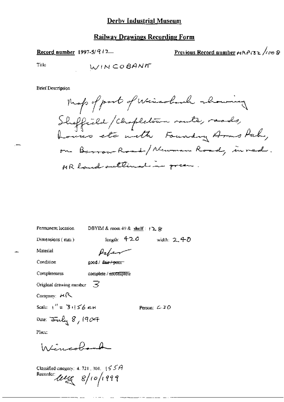### **Railway Drawings Recording Form**

### Record number 1997-5/ $912$

## Previous Record number HAPI32 /100 8

Title

#### **Brief Description**

Map of part of Wincoland showing Sheffield / Chapletown route, roads,<br>houses etc meth Foundry Arms Puh, on Barrow-Road-/Newman Road, in red. MR land outtimation green

width:  $2.40$ 

Person:  $C$  J  $O$ 

Permanent location DBYIM & room 49 & shelf :  $(2.8)$ 

Dimensions (mm)

length:  $420$ 

 $\mathcal{P}_{a}/\mathcal{P}$ good / <del>fair / poor</del>

Condition

Completeness

Material

complete / incomplete

-3 Original drawing number

Company: HR

Seate:  $1'' = 3.156$  cH

Date:  $\frac{1}{2}$ uly 8, 1904

Place:

Wincobond

Classified category: 4, 721, 301,  $\frac{1}{5}$   $5$   $A$ Recorder:  $\text{deg} 8/10/1999$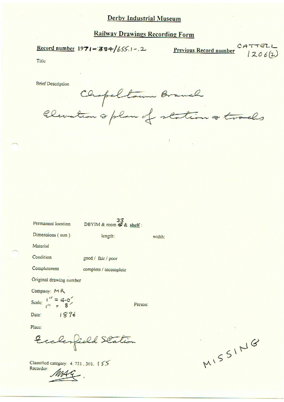## **Railway Drawings Recording Form**

### Record number  $1971 - 384/655.1 - 2$

 $CATFEL$ **Previous Record number** 

 $1206(2)$ 

Title

**Brief Description** 

Chopeltown Branch Elevation & plan of station & tracks

| Permanent location         | 33<br>DBYIM & room & & shelf: |        |  |
|----------------------------|-------------------------------|--------|--|
| Dimensions (mm)            | length:                       | width: |  |
| Material                   |                               |        |  |
| Condition                  | good / fair / poor            |        |  |
| Completeness               | complete / incomplete         |        |  |
| Original drawing number    |                               |        |  |
| Company: MR                |                               |        |  |
| Scale: $\frac{1}{11} = 40$ | Person:                       |        |  |
| 1896<br>Date:              |                               |        |  |
| Place:                     |                               |        |  |

Ecclesfield Station

Classified category: 4.721.301. 155 Recorder:

MISSING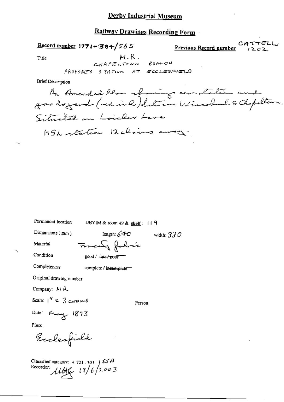#### **Railway Drawings Recording Form**

 $\frac{\text{Record number}}{1971 - 384}$ /565

CATTELL Previous Record number  $1202$ 

Title

 $M.R.$ 

**Brief Description** 

An Amended Plan showing newslation and Situated on Loider Lave MSL station 12 chains away.

width:  $33\mathcal{O}$ 

₽

Permanent location

DBYIM & room  $49$  & shelf:  $119$ 

Dimensions (mm)

length:  $640$ <del>macen</del> fobric

Material

Condition

Completeness

good / fair / poor

5

complete / incomplete

Original drawing number

Company:  $M R$ 

$$
Scale: 1' = 3
$$

Person:

Date: May 1893

Place:

Euclesfield

Classified category:  $4.721$ , 301,  $\int$   $55A$  $\mu_{\mathcal{H}}$  13/6/2003 Recorder: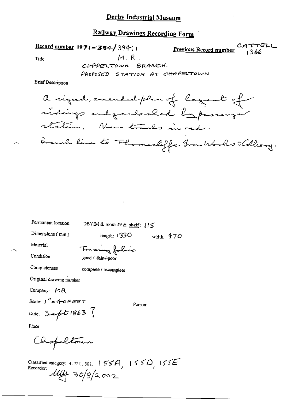## Railway Drawings Recording Form

Record number  $1971 - 384/394$ .

 $CATTEL$ <br>Previous Record number 244

Title

 $M. R.$ 

CHAPELTOWN BRANCH. PROPOSED STATION AT CHAPELTOWN

**Brief Description** 

Permanent location DBYIM & room 49 & shelf: { } 5 Dimensions  $(mn)$ length:  $(330)$ width:  $470$ Material Francing fabric

good / fair / poor

Condition

Completeness

complete / incomplete

Original drawing number

Company: MR

Scale:  $1''$  = 40FEET

Person:

Date: Sept 1863 ?

Place:

Chapeltour

Classified category: 4.721.301. 155A, 155D, 155E<br>Recorder:  $\frac{\text{Aluf}}{\text{Aluf}}$  30/8/2002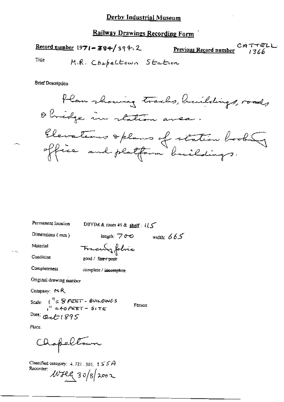## **Railway Drawings Recording Form**

**Previous Record number** CATTELL  $\frac{\text{Record number}}{1971 - 384}$  394.2 Title M.R. Chapeltown Station

**Brief Description** 



Permanent location

DBYIM & room 49 & shelf:  $115$ 

Dimensions (mm)

length:  $700$ width:  $665$ 

Material

Traculy folic

Condition

Completeness

good / fair / poor

complete / incomplete

Original drawing number

Company: MR

Scale:  $\int_1^R \approx 9$  FEET - BUILDINGS Date:  $Q_2t$ 1895

Person:

Place:

Chapeltour

Classified category:  $4.721, 501, 1555A$ Recorder:  $Wfll$  30/8/2002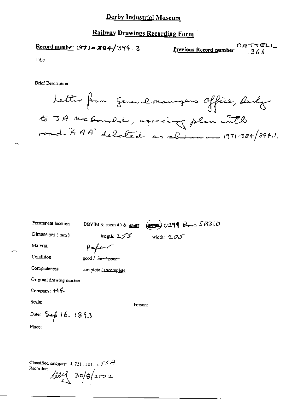## **Railway Drawings Recording Form**

**Previous Record number** 2666 Record number 1971-384/394.3

Title

**Brief Description** 

Letter from General Managers Office, desly to JA McDonald, agreeing plan with

| Permanent location      | DBYIM & room 49 & shelf: $(250)$ 029 \$ Book SB310 |              |  |
|-------------------------|----------------------------------------------------|--------------|--|
| Dimensions $(mn)$       | length: 2.55                                       | width: $205$ |  |
| Material                | fafer                                              |              |  |
| Condition               | good / fair + poor-                                |              |  |
| Completeness            | complete / incomplete                              |              |  |
| Original drawing number |                                                    |              |  |
| Company: $M$ $R$        |                                                    |              |  |
| Scale:                  | Person:                                            |              |  |
| Date: Sep 16. 1893      |                                                    |              |  |
| Place:                  |                                                    |              |  |

Classified category:  $4.721.301.155A$ Recorder:  $\frac{100}{2}$  30/8/2002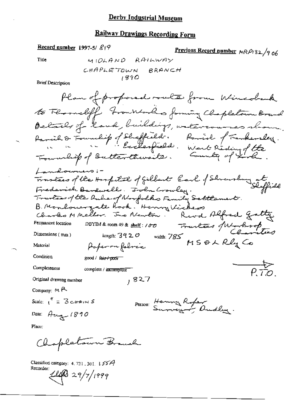# Railway Drawings Recording Form

 $\overline{a}$ 

 $\overline{a}$ 

Record number 1997-5/ $\mathcal{L}$ 19

Previous Record number MRP132/906

Title

**Brief Description** 

Place:

Classified category: 4, 721, 301, 155A Recorder:

 $110329/7/1999$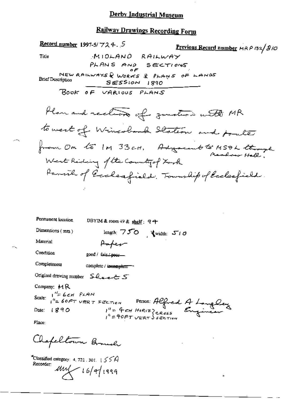# Railway Drawings Recording Form

a,

 $\overline{C}$  Classified category: 4.721.301.  $155A$ Recorder:  $mu$  16/4/1999

 $\sim -\sqrt{2}$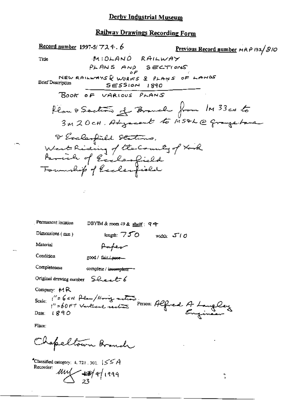# Railway Drawings Recording Form

| Record number 1997-5/ $724.6$                                                                            |                                                           |                              | Previous Record number MRP 132/810                  |
|----------------------------------------------------------------------------------------------------------|-----------------------------------------------------------|------------------------------|-----------------------------------------------------|
| Title                                                                                                    | MIDLAND RAILWAY                                           |                              |                                                     |
|                                                                                                          | PLANS AND SECTIONS                                        |                              |                                                     |
| <b>Brief Description</b>                                                                                 | NEW RAILWAYS & WORKS & PLANS OF LANDS<br>$SESSion$ $1890$ |                              |                                                     |
|                                                                                                          | BOOK OF VARIOUS PLANS                                     |                              |                                                     |
|                                                                                                          |                                                           |                              | Plan & Soction of Branch from 1M 33cx to            |
|                                                                                                          |                                                           |                              | 3M20CH. Adyacent to MS&L@ grangebana                |
|                                                                                                          | I Exclanfield Stations.                                   |                              |                                                     |
|                                                                                                          |                                                           |                              |                                                     |
|                                                                                                          | West Riding of the County of Xork                         |                              |                                                     |
|                                                                                                          | Tournhip of Ecclesfield                                   |                              |                                                     |
|                                                                                                          |                                                           |                              |                                                     |
|                                                                                                          |                                                           |                              |                                                     |
|                                                                                                          |                                                           |                              |                                                     |
|                                                                                                          |                                                           |                              |                                                     |
| Permanent location                                                                                       | DBYIM & room $49$ & shelf: $94$                           |                              |                                                     |
| Dimensions (mm)                                                                                          | length: $750$                                             | width: $5''$ / $\mathcal{O}$ |                                                     |
| Material                                                                                                 | Hapev                                                     |                              |                                                     |
| Condition                                                                                                | good / fair / esse-                                       |                              |                                                     |
| Completeness                                                                                             | complete / incorreplete -                                 |                              |                                                     |
| Original drawing number Sheet 6                                                                          |                                                           |                              |                                                     |
| Company: $M R$                                                                                           |                                                           |                              |                                                     |
| Scale:                                                                                                   |                                                           |                              | 1"= 6 cH Plan/Hong meters. Person: Alfred A Langley |
| Date: $1890$                                                                                             |                                                           |                              |                                                     |
| Place.                                                                                                   |                                                           |                              |                                                     |
|                                                                                                          | Chapeltown Branch                                         |                              |                                                     |
| $^4$ Classified category: 4, 721, 301. $\left[\right]{\leq}$ $\left[\right]{\leq}$ $\left[\right]{\leq}$ |                                                           |                              |                                                     |

Recorder:  $\frac{100}{23}$  4/1999

 $\frac{3}{4}$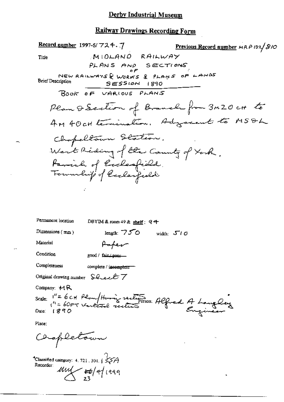## Railway Drawings Recording Form

| Record number 1997-5/ $724.7$                                   |                                                           | <b>Previous Record number</b> MRP 132/810 |
|-----------------------------------------------------------------|-----------------------------------------------------------|-------------------------------------------|
| Title                                                           | MIOLANO RAILWAY                                           |                                           |
|                                                                 | PLANS AND SECTIONS                                        |                                           |
| <b>Brief Description</b>                                        | NEW RAILWAYS & WORKS & PLANS OF LANDS<br>$SESSION$ $1890$ |                                           |
|                                                                 | BOOK OF VARIOUS PLANS                                     |                                           |
|                                                                 |                                                           | Plan & Section of Branch from 3M20 ct to  |
|                                                                 |                                                           | AM 40 cH termination. Adogsecut to MSDL   |
|                                                                 | Chopeltown Station.                                       |                                           |
|                                                                 | West Reding of the County of York.                        |                                           |
|                                                                 |                                                           |                                           |
|                                                                 | Pamirh of Ecclesfield.<br>Foundit of laclesfield          |                                           |
|                                                                 |                                                           |                                           |
|                                                                 |                                                           |                                           |
|                                                                 |                                                           |                                           |
| Permanent location                                              | DBYIM & room 49 & shelf: 9 아                              |                                           |
| Dimensions $(mn)$                                               | length: $750$                                             | width: $510$                              |
| Material                                                        | Paper                                                     |                                           |
| Condition                                                       | good / fair / poor -                                      |                                           |
| Completeness                                                    | complete / incomplete                                     |                                           |
| Original drawing number $\mathcal{L}\left(\mathcal{L}\right)$ / |                                                           |                                           |
| Company: $M$ R                                                  |                                                           |                                           |
|                                                                 | Scale: "= 6CH Plan / Having sections Alfred A Language    |                                           |
| Place:                                                          |                                                           |                                           |
| Chapletown                                                      |                                                           |                                           |
|                                                                 |                                                           |                                           |

 $\mathbf{a}$ 

\*Classified category: 4.721.301.  $\sqrt{$\lessgtr A}$ <br>Recorder:  $\frac{M\cancel{M}}{23}$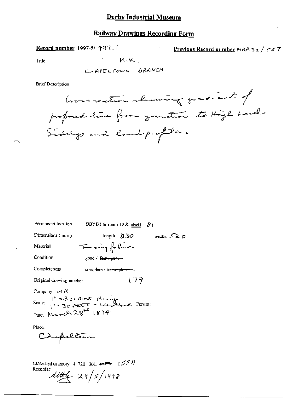### Railway Drawings Recording Form

Record number 1997-5/ 499. I Previous Record number  $MRP_1$ 32 / 557

Title  $M \cdot R$  .

CHAPELTOWN BRANCH

Brief Description

Commentant showing gradient of proposed line from zunition to High Land Sidings and land profile.

| Permanent location                                                                                | DBYIM & room $+9$ & shelf : $\mathcal{B}$ !          |              |
|---------------------------------------------------------------------------------------------------|------------------------------------------------------|--------------|
| Dimensions $(mn)$                                                                                 | length: $830$                                        | width: $520$ |
| Material                                                                                          | Tracing fabric                                       |              |
| Condition                                                                                         | good / <del>fair / poer -</del>                      |              |
| Completeness                                                                                      | complete / in <del>complete —</del>                  |              |
| Original drawing number                                                                           | 179                                                  |              |
| Company: $M$ $R$                                                                                  |                                                      |              |
| Scale: $1^{\prime\prime}$ = 3 cm AINS. However Level Person:<br>Date: March 28 <sup>12</sup> 1894 |                                                      |              |
|                                                                                                   |                                                      |              |
| Place:                                                                                            |                                                      |              |
| Caspeltour                                                                                        |                                                      |              |
|                                                                                                   | Classified category: 4, 721, 301, $4\sqrt{3}$   55 A |              |

Recorder:  $11446 - 29/5/1998$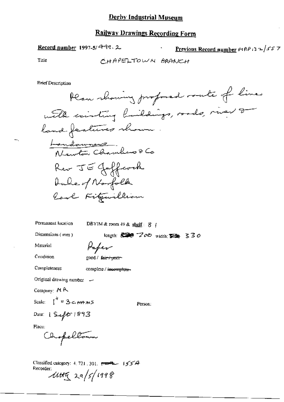### **Railway Drawings Recording Form**

Record number 1997-5/499.2

Previous Record number  $MRP$  3  $2/55$  7

Title

CHAPELTOWN BRANCH

**Brief Description** 

Permanent location DBYIM & room  $49$  & shelf:  $8$  |

Dimensions (mm)

length:  $\frac{1}{2}$   $\frac{1}{2}$   $\frac{1}{2}$   $\frac{1}{2}$   $\frac{1}{2}$   $\frac{1}{2}$   $\frac{1}{2}$   $\frac{1}{2}$   $\frac{1}{2}$   $\frac{1}{2}$   $\frac{1}{2}$   $\frac{1}{2}$   $\frac{1}{2}$   $\frac{1}{2}$   $\frac{1}{2}$   $\frac{1}{2}$   $\frac{1}{2}$   $\frac{1}{2}$   $\frac{1}{2}$   $\frac{1}{2}$   $\frac{1}{2}$   $\frac$ 

Material

Paper

Condition

good / fair + pror-

Completeness

complete / incomplete-

Original drawing number -

Company: MR

Scale:  $\int_0^h = 3 \epsilon$  HANS

Person:

Date: 1 Sept 1893

Place:

Chopellown

Classified category: 4, 721, 301,  $\overline{\overline{C}}$  = 1554 Recorder.<br> $114\frac{q}{q}$  29/5/1998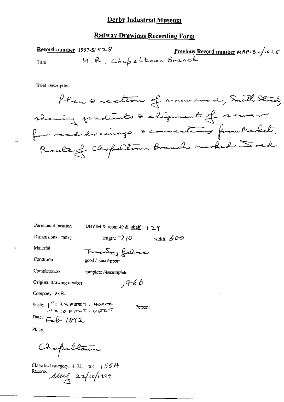### **Railway Drawings Recording Form**

Record number  $1997-5/928$ Previous Record number  $\mu$  RP132/1025 M.R. Chapeltown Branch Title

**Brief Description** 

Permanent location

DBYIM & room 49 & shelf:  $129$ 

Dimensions (mm)

width,  $600$ length:  $\neg$  *iO* 

Material

 $\overline{a}$ 

Condition

good / fair<del>/poor</del>

**Completeness** complete / incomplete

Original drawing number

 $,466$ 

Company: MR

Scale:  $\int_{1}^{R} 1.33$  FEET, HORIZ Person: Date: Feb 1892

Place:

Chapellaum

Classified category, 4, 721, 301, 155A Recorder  $\mu$  22/10/1999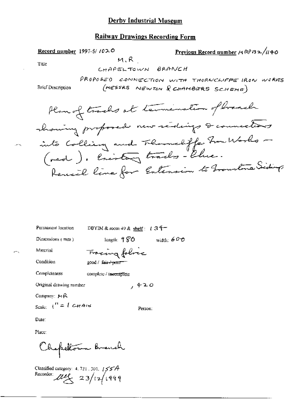### **Railway Drawings Recording Form**

Previous Record number  $A \mathbb{R}^p$ 132/1140 Record number  $1997-5/1020$  $M.R$ Title CHAPELTOWN BRANCH PROPOSED CONNECTION WITH THORNCHIFFE IRON WORKS (MESSRS NEWTON & CHAMBERS SCHEME) **Brief Description** Plan of tracks at termination of branch chaning proposed new scidings & connections into Colling and Themselffe from Works -(ned). Enistay tracks- Chie. Rencil line for Entension to From tone Siding

width:  $600$ 

Permanent location

DBYIM & room 49 & shelf:  $1.34$ 

Dimensions  $(mn)$ 

length:  $980$ Fracing folice

Condition

Material

good / fair / p.ror

Completeness complete / incomplete

Original drawing number , 420

Company: MR

Scale:  $\int_0^H = \int G H A t M$ 

Person:

Date:

Place:

Chapeltour Branch

Classified category:  $4, 721, 301, 1557A$ Recorder:  $\mu_{\mathcal{L}}$  23/12/1999